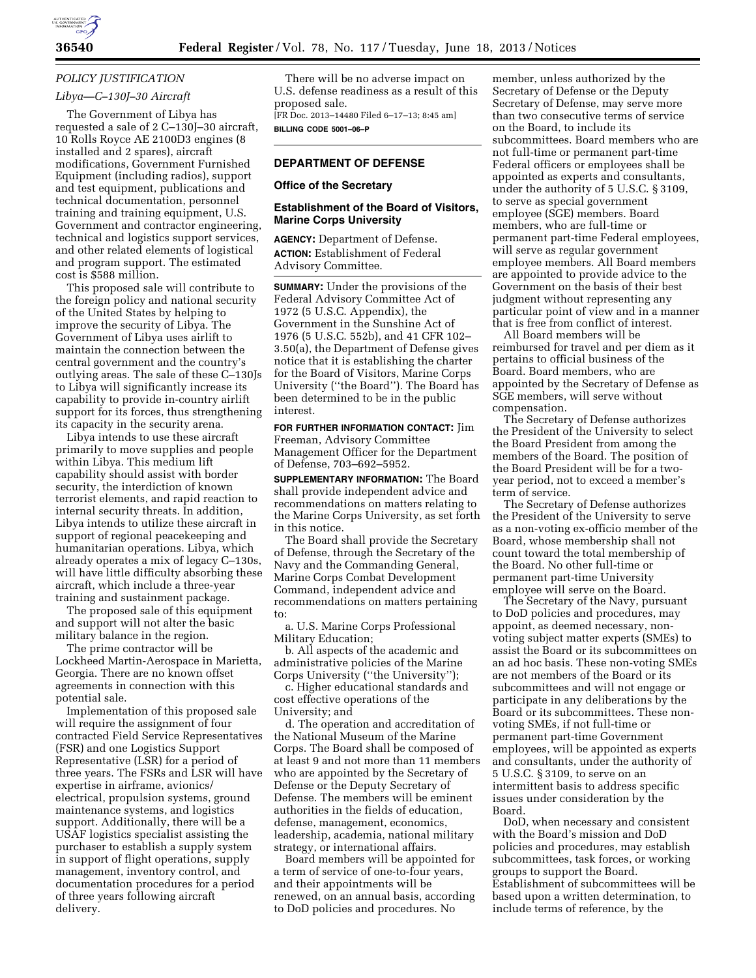

# *POLICY JUSTIFICATION Libya—C–130J–30 Aircraft*

The Government of Libya has requested a sale of 2 C–130J–30 aircraft, 10 Rolls Royce AE 2100D3 engines (8 installed and 2 spares), aircraft modifications, Government Furnished Equipment (including radios), support and test equipment, publications and technical documentation, personnel training and training equipment, U.S. Government and contractor engineering, technical and logistics support services, and other related elements of logistical and program support. The estimated cost is \$588 million.

This proposed sale will contribute to the foreign policy and national security of the United States by helping to improve the security of Libya. The Government of Libya uses airlift to maintain the connection between the central government and the country's outlying areas. The sale of these C–130Js to Libya will significantly increase its capability to provide in-country airlift support for its forces, thus strengthening its capacity in the security arena.

Libya intends to use these aircraft primarily to move supplies and people within Libya. This medium lift capability should assist with border security, the interdiction of known terrorist elements, and rapid reaction to internal security threats. In addition, Libya intends to utilize these aircraft in support of regional peacekeeping and humanitarian operations. Libya, which already operates a mix of legacy C–130s, will have little difficulty absorbing these aircraft, which include a three-year training and sustainment package.

The proposed sale of this equipment and support will not alter the basic military balance in the region.

The prime contractor will be Lockheed Martin-Aerospace in Marietta, Georgia. There are no known offset agreements in connection with this potential sale.

Implementation of this proposed sale will require the assignment of four contracted Field Service Representatives (FSR) and one Logistics Support Representative (LSR) for a period of three years. The FSRs and LSR will have expertise in airframe, avionics/ electrical, propulsion systems, ground maintenance systems, and logistics support. Additionally, there will be a USAF logistics specialist assisting the purchaser to establish a supply system in support of flight operations, supply management, inventory control, and documentation procedures for a period of three years following aircraft delivery.

There will be no adverse impact on U.S. defense readiness as a result of this proposed sale. [FR Doc. 2013–14480 Filed 6–17–13; 8:45 am] **BILLING CODE 5001–06–P** 

## **DEPARTMENT OF DEFENSE**

#### **Office of the Secretary**

#### **Establishment of the Board of Visitors, Marine Corps University**

**AGENCY:** Department of Defense. **ACTION:** Establishment of Federal Advisory Committee.

**SUMMARY:** Under the provisions of the Federal Advisory Committee Act of 1972 (5 U.S.C. Appendix), the Government in the Sunshine Act of 1976 (5 U.S.C. 552b), and 41 CFR 102– 3.50(a), the Department of Defense gives notice that it is establishing the charter for the Board of Visitors, Marine Corps University (''the Board''). The Board has been determined to be in the public interest.

**FOR FURTHER INFORMATION CONTACT:** Jim Freeman, Advisory Committee Management Officer for the Department of Defense, 703–692–5952.

**SUPPLEMENTARY INFORMATION:** The Board shall provide independent advice and recommendations on matters relating to the Marine Corps University, as set forth in this notice.

The Board shall provide the Secretary of Defense, through the Secretary of the Navy and the Commanding General, Marine Corps Combat Development Command, independent advice and recommendations on matters pertaining to:

a. U.S. Marine Corps Professional Military Education;

b. All aspects of the academic and administrative policies of the Marine Corps University (''the University'');

c. Higher educational standards and cost effective operations of the University; and

d. The operation and accreditation of the National Museum of the Marine Corps. The Board shall be composed of at least 9 and not more than 11 members who are appointed by the Secretary of Defense or the Deputy Secretary of Defense. The members will be eminent authorities in the fields of education, defense, management, economics, leadership, academia, national military strategy, or international affairs.

Board members will be appointed for a term of service of one-to-four years, and their appointments will be renewed, on an annual basis, according to DoD policies and procedures. No

member, unless authorized by the Secretary of Defense or the Deputy Secretary of Defense, may serve more than two consecutive terms of service on the Board, to include its subcommittees. Board members who are not full-time or permanent part-time Federal officers or employees shall be appointed as experts and consultants, under the authority of 5 U.S.C. § 3109, to serve as special government employee (SGE) members. Board members, who are full-time or permanent part-time Federal employees, will serve as regular government employee members. All Board members are appointed to provide advice to the Government on the basis of their best judgment without representing any particular point of view and in a manner that is free from conflict of interest.

All Board members will be reimbursed for travel and per diem as it pertains to official business of the Board. Board members, who are appointed by the Secretary of Defense as SGE members, will serve without compensation.

The Secretary of Defense authorizes the President of the University to select the Board President from among the members of the Board. The position of the Board President will be for a twoyear period, not to exceed a member's term of service.

The Secretary of Defense authorizes the President of the University to serve as a non-voting ex-officio member of the Board, whose membership shall not count toward the total membership of the Board. No other full-time or permanent part-time University employee will serve on the Board.

The Secretary of the Navy, pursuant to DoD policies and procedures, may appoint, as deemed necessary, nonvoting subject matter experts (SMEs) to assist the Board or its subcommittees on an ad hoc basis. These non-voting SMEs are not members of the Board or its subcommittees and will not engage or participate in any deliberations by the Board or its subcommittees. These nonvoting SMEs, if not full-time or permanent part-time Government employees, will be appointed as experts and consultants, under the authority of 5 U.S.C. § 3109, to serve on an intermittent basis to address specific issues under consideration by the Board.

DoD, when necessary and consistent with the Board's mission and DoD policies and procedures, may establish subcommittees, task forces, or working groups to support the Board. Establishment of subcommittees will be based upon a written determination, to include terms of reference, by the